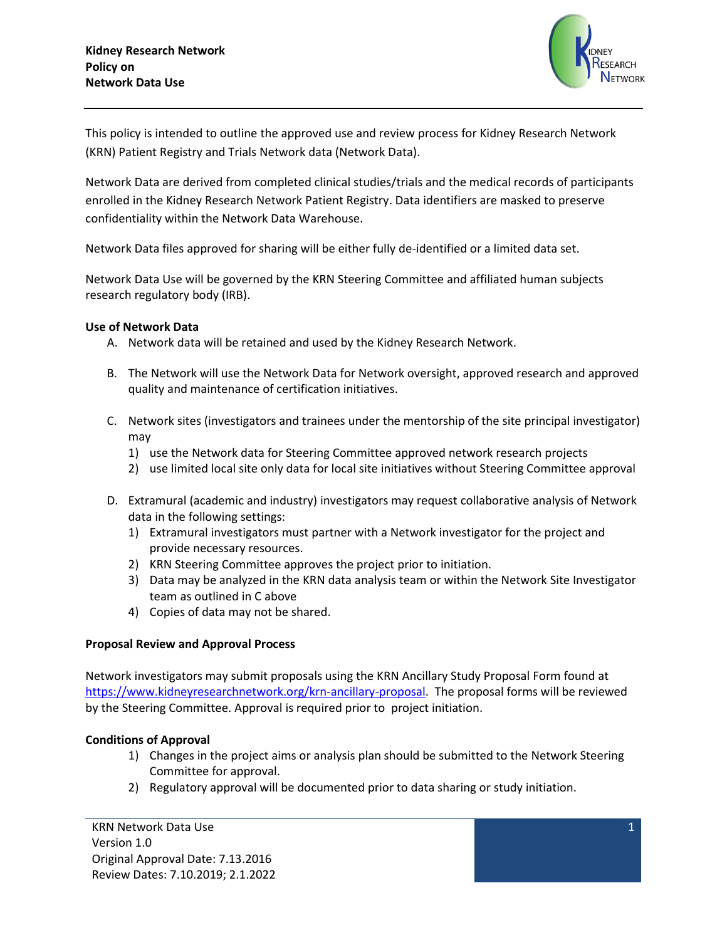

This policy is intended to outline the approved use and review process for Kidney Research Network (KRN) Patient Registry and Trials Network data (Network Data).

Network Data are derived from completed clinical studies/trials and the medical records of participants enrolled in the Kidney Research Network Patient Registry. Data identifiers are masked to preserve confidentiality within the Network Data Warehouse.

Network Data files approved for sharing will be either fully de-identified or a limited data set.

Network Data Use will be governed by the KRN Steering Committee and affiliated human subjects research regulatory body (IRB).

## **Use of Network Data**

- A. Network data will be retained and used by the Kidney Research Network.
- B. The Network will use the Network Data for Network oversight, approved research and approved quality and maintenance of certification initiatives.
- C. Network sites (investigators and trainees under the mentorship of the site principal investigator) may
	- 1) use the Network data for Steering Committee approved network research projects
	- 2) use limited local site only data for local site initiatives without Steering Committee approval
- D. Extramural (academic and industry) investigators may request collaborative analysis of Network data in the following settings:
	- 1) Extramural investigators must partner with a Network investigator for the project and provide necessary resources.
	- 2) KRN Steering Committee approves the project prior to initiation.
	- 3) Data may be analyzed in the KRN data analysis team or within the Network Site Investigator team as outlined in C above
	- 4) Copies of data may not be shared.

## **Proposal Review and Approval Process**

Network investigators may submit proposals using the KRN Ancillary Study Proposal Form found at [https://www.kidneyresearchnetwork.org/krn-ancillary-proposal.](https://www.kidneyresearchnetwork.org/krn-ancillary-proposal) The proposal forms will be reviewed by the Steering Committee. Approval is required prior to project initiation.

## **Conditions of Approval**

- 1) Changes in the project aims or analysis plan should be submitted to the Network Steering Committee for approval.
- 2) Regulatory approval will be documented prior to data sharing or study initiation.